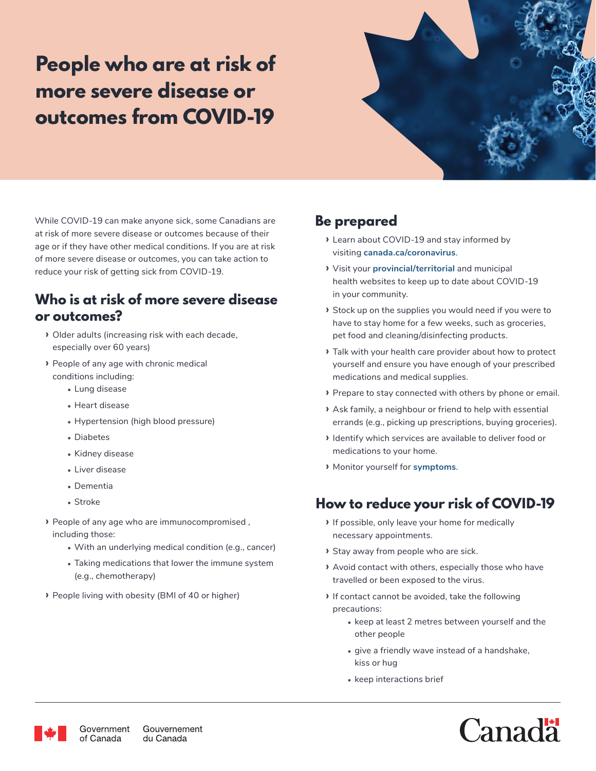# **People who are at risk of more severe disease or outcomes from COVID-19**



While COVID-19 can make anyone sick, some Canadians are at risk of more severe disease or outcomes because of their age or if they have other medical conditions. If you are at risk of more severe disease or outcomes, you can take action to reduce your risk of getting sick from COVID-19.

### **Who is at risk of more severe disease or outcomes?**

- **›** Older adults (increasing risk with each decade, especially over 60 years)
- **›** People of any age with chronic medical conditions including:
	- **•** Lung disease
	- **•** Heart disease
	- **•** Hypertension (high blood pressure)
	- **•** Diabetes
	- **•** Kidney disease
	- **•** Liver disease
	- **•** Dementia
	- **•** Stroke
- **›** People of any age who are immunocompromised , including those:
	- **•** With an underlying medical condition (e.g., cancer)
	- **•** Taking medications that lower the immune system (e.g., chemotherapy)
- **›** People living with obesity (BMI of 40 or higher)

# **Be prepared**

- **›** Learn about COVID-19 and stay informed by visiting **<canada.ca/coronavirus>**.
- **›** Visit your **[provincial/territorial](https://www.canada.ca/en/public-health/services/diseases/2019-novel-coronavirus-infection/symptoms/provincial-territorial-resources-covid-19.html)** and municipal health websites to keep up to date about COVID-19 in your community.
- **›** Stock up on the supplies you would need if you were to have to stay home for a few weeks, such as groceries, pet food and cleaning/disinfecting products.
- **›** Talk with your health care provider about how to protect yourself and ensure you have enough of your prescribed medications and medical supplies.
- **›** Prepare to stay connected with others by phone or email.
- **›** Ask family, a neighbour or friend to help with essential errands (e.g., picking up prescriptions, buying groceries).
- **›** Identify which services are available to deliver food or medications to your home.
- **›** Monitor yourself for **[symptom](https://www.canada.ca/en/public-health/services/diseases/2019-novel-coronavirus-infection/symptoms.html#s)s**.

## **How to reduce your risk of COVID-19**

- **›** If possible, only leave your home for medically necessary appointments.
- **›** Stay away from people who are sick.
- **›** Avoid contact with others, especially those who have travelled or been exposed to the virus.
- **›** If contact cannot be avoided, take the following precautions:
	- **•** keep at least 2 metres between yourself and the other people
	- **•** give a friendly wave instead of a handshake, kiss or hug
	- **•** keep interactions brief